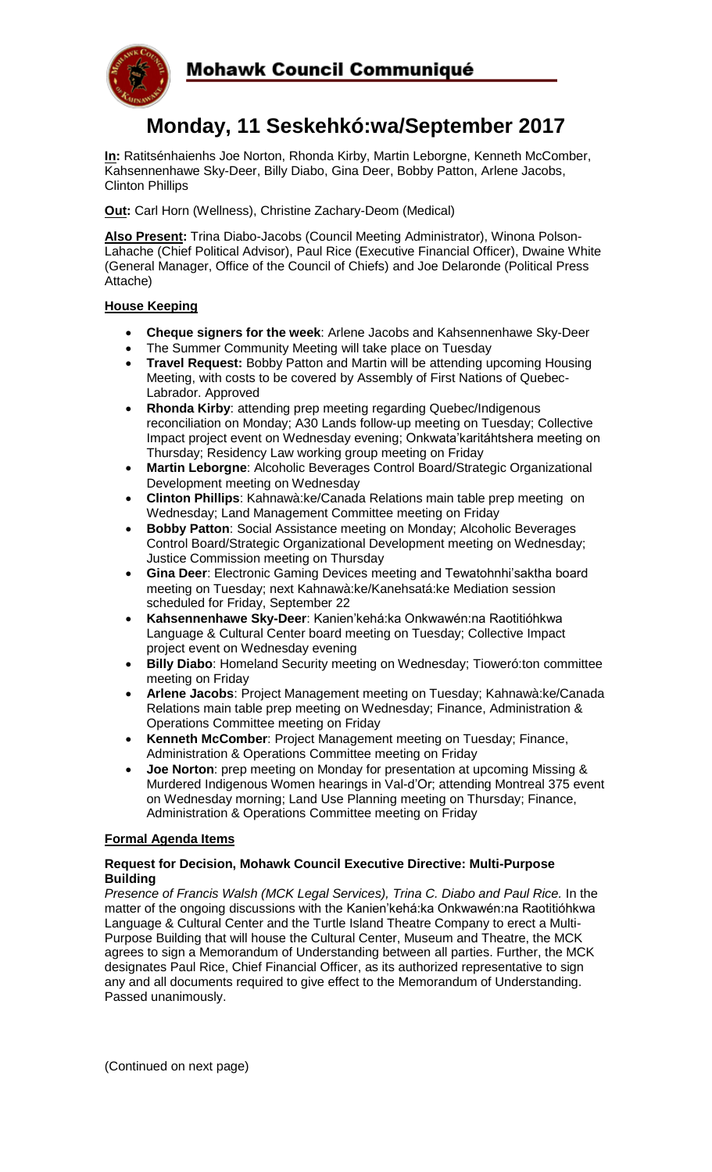

# **Monday, 11 Seskehkó:wa/September 2017**

**In:** Ratitsénhaienhs Joe Norton, Rhonda Kirby, Martin Leborgne, Kenneth McComber, Kahsennenhawe Sky-Deer, Billy Diabo, Gina Deer, Bobby Patton, Arlene Jacobs, Clinton Phillips

**Out:** Carl Horn (Wellness), Christine Zachary-Deom (Medical)

**Also Present:** Trina Diabo-Jacobs (Council Meeting Administrator), Winona Polson-Lahache (Chief Political Advisor), Paul Rice (Executive Financial Officer), Dwaine White (General Manager, Office of the Council of Chiefs) and Joe Delaronde (Political Press Attache)

# **House Keeping**

- **Cheque signers for the week**: Arlene Jacobs and Kahsennenhawe Sky-Deer
- The Summer Community Meeting will take place on Tuesday
- **Travel Request:** Bobby Patton and Martin will be attending upcoming Housing Meeting, with costs to be covered by Assembly of First Nations of Quebec-Labrador. Approved
- **Rhonda Kirby**: attending prep meeting regarding Quebec/Indigenous reconciliation on Monday; A30 Lands follow-up meeting on Tuesday; Collective Impact project event on Wednesday evening; Onkwata'karitáhtshera meeting on Thursday; Residency Law working group meeting on Friday
- **Martin Leborgne**: Alcoholic Beverages Control Board/Strategic Organizational Development meeting on Wednesday
- **Clinton Phillips**: Kahnawà:ke/Canada Relations main table prep meeting on Wednesday; Land Management Committee meeting on Friday
- **Bobby Patton:** Social Assistance meeting on Monday; Alcoholic Beverages Control Board/Strategic Organizational Development meeting on Wednesday; Justice Commission meeting on Thursday
- **Gina Deer**: Electronic Gaming Devices meeting and Tewatohnhi'saktha board meeting on Tuesday; next Kahnawà:ke/Kanehsatá:ke Mediation session scheduled for Friday, September 22
- **Kahsennenhawe Sky-Deer**: Kanien'kehá:ka Onkwawén:na Raotitióhkwa Language & Cultural Center board meeting on Tuesday; Collective Impact project event on Wednesday evening
- **Billy Diabo**: Homeland Security meeting on Wednesday; Tioweró:ton committee meeting on Friday
- **Arlene Jacobs**: Project Management meeting on Tuesday; Kahnawà:ke/Canada Relations main table prep meeting on Wednesday; Finance, Administration & Operations Committee meeting on Friday
- **Kenneth McComber**: Project Management meeting on Tuesday; Finance, Administration & Operations Committee meeting on Friday
- **Joe Norton**: prep meeting on Monday for presentation at upcoming Missing & Murdered Indigenous Women hearings in Val-d'Or; attending Montreal 375 event on Wednesday morning; Land Use Planning meeting on Thursday; Finance, Administration & Operations Committee meeting on Friday

# **Formal Agenda Items**

#### **Request for Decision, Mohawk Council Executive Directive: Multi-Purpose Building**

*Presence of Francis Walsh (MCK Legal Services), Trina C. Diabo and Paul Rice.* In the matter of the ongoing discussions with the Kanien'kehá:ka Onkwawén:na Raotitióhkwa Language & Cultural Center and the Turtle Island Theatre Company to erect a Multi-Purpose Building that will house the Cultural Center, Museum and Theatre, the MCK agrees to sign a Memorandum of Understanding between all parties. Further, the MCK designates Paul Rice, Chief Financial Officer, as its authorized representative to sign any and all documents required to give effect to the Memorandum of Understanding. Passed unanimously.